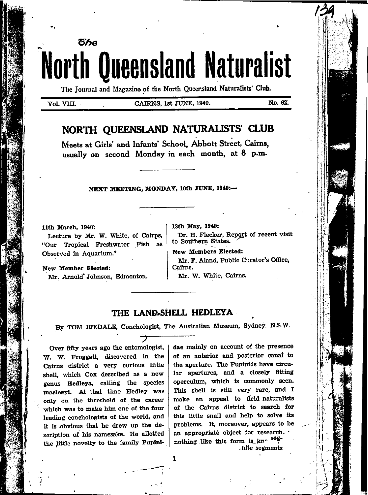# წჩი **North Queensland Naturalist**

The Journal and Magazine of the North Queersland Naturalists' Club.

Vol. VIII.

#### CAIRNS, 1st JUNE, 1940.

No. 62.

## NORTH QUEENSLAND NATURALISTS' CLUB

Meets at Girls' and Infants' School. Abbott Street, Cairns. usually on second Monday in each month, at 8 p.m.

#### NEXT MEETING, MONDAY, 10th JUNE, 1940:-

#### 11th March. 1940:

Lecture by Mr. W. White, of Cairps, "Our Tropical Freshwater Fish as Observed in Aquarium."

New Member Elected: Mr. Arnold' Johnson, Edmonton. 13th May, 1940:

Dr. H. Flecker, Report of recent visit to Southern States.

**New Members Elected:** 

Mr. F. Aland, Public Curator's Office, Cairns.

Mr. W. White, Cairns.

### THE LAND-SHELL HEDLEYA

By TOM IREDALE, Conchologist, The Australian Museum, Sydney N.S.W.

 $\mathbf{1}$ 

Over fifty years ago the entomologist, W. W. Froggatt, discovered in the Cairns district a very curious little shell, which Cox described as a new genus Hedleya, calling the species macleayi. At that time Hedley was only on the threshold of the career which was to make him one of the four leading conchologists of the world, and it is obvious that he drew up the description of his namesake. He allotted the little novelty to the family Pupinidae mainly on account of the presence of an anterior and posterior canal to the aperture. The Pupinids have circular apertures, and a closely fitting operculum, which is commonly seen. This shell is still very rare, and I make an appeal to field naturalists of the Cairns district to search for this little snail and help to solve its problems. It, moreover, appears to be an appropriate object for research nothing like this form is kno seg-.nite segments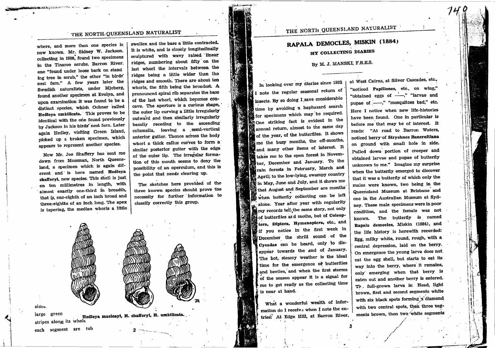## THE NORTH QUEENSLAND NATURALIST

where, and more than one species is now known. Mr. Sidney W. Jackson, collecting in 1908, found two specimens in the Tinaroo scrubs, Barron River, one "found under loose bark on stand ing tree in scrub," the other "in birds" nest fern." A few years later the Swedish naturalists, under Mjoberg, found another specimen at Evelyn, and upon examination it was found to be a distinct species, which Oohner called Hedleya umbilicata. This proves to be identical with the one found previously by Jackson in his birds' nest fern. Later again Hedley, visiting Green Island, picked up a broken specimen, which appears to represent another species.

<u>Marie Willie (</u>Haarles Nieu, 20

Now Mr. Joe Shaffery has sent me down from Mossman, North Queensland, a specimen which is again diferent and is here named Hedleya shafferyi, new species. This shell is just on ten millimetres in length, with almost exactly one-third in breadth, that is, one-eighth of an inch broad and three-eighths of an inch long. The apex is tapering, the median whorls a little swollen and the base a little contracted. It is white, and is closely longitudinally sculptured with wavy raised linear ridges, numbering about fifty on the last whorl the intervals between the ridges being a little wider than the ridges and smooth. There are about ten whorls, the fifth being the broadest. A pronounced spiral rib separates the base of the last whorl, which becomes concave. The aperture is a curious shape, the outer lip curving a little irregularly outward and then similarly irregularly basally receding to the ascending columella, leaving a semi-vertical anterior gutter. Thence across the body whorl a thick callus curves to form a similar posterior gutter with the edge of the outer lip. The irregular formation of this mouth seems to deny the possibility of an operculum, and this is the point that needs clearing up.

The sketches here provided of the three known species should prove the necessity for further information to classify correctly this group.



large green Hedleya macleayi, H. shafferyi, H. umbilicata. stripes along its whole

each segment are tub

sides.

RAPALA DEMOCLES, MISKIN (1884) MY COLLECTING DIARIES

By M. J. MANSKI, F.R.E.S.

In looking over my diaries since 1932 I note the regular seasonal return of insects. By so doing I save considerable time by avoiding a haphazard search for specimens which may be required. One striking fact is evident in the annual return, almost to the same day of the year, of the butterflies. It shows  $\mathbb{R}$  me the busy months, the off-months, and many other items of interest. It takes me to the open forest in November, December and January. To the Frain forests in February, March and April; to the low-lying, swampy country in May, June and July, and it shows me that August and September are months when butterfly collecting can be left alone. Year after year with regularity my records tell the same story, not only of butterflies ard moths, but of Coleop- $\mathbf{\mathcal{L}}$  tera, Diptera, Hymenoptera, etc., and if you notice in the first week in December the shrill sound of the Cycadae can be heard, only to disappear towards the end of January. The hot, steamy weather is the ideal time for the emergence of butterflies and beetles, and when the first storms of the season appear it is a signal for me to get ready as the collecting time is near at hand.

> What a wonderful wealth of information do I receiv  $\epsilon$  when I note the entries: At Edge Hill, at Barron River,

at West Cairns, at Silver Cascades, etc., "noticed Papiliones, etc., on wing," "obtained eggs of ---," "larvae and pupae of ..........." "mosquitoes bad," etc. Here I notice when new life-histories have been found. One in particular is before me that may be of interest. It reads: "At road to Barron Waters, noticed berry of Strychnos Bancroftiana on ground with small hole in side. Pulled down portion of creeper and obtained larvae and pupae of butterfly unknown to me." Imagine my surprise when the butterfly emerged to discover that it was a butterfly of which only the males were known, two being in the Queensland Museum at Brisbane and one in the Australian Museum at Sydney. These male specimens were in poor condition, and the female was not known. The butterfly is named Rapala democles, Miskin (1884), and the life history is herewith recorded: Egg, milky white, round, rough, with a central depression, laid on the berry. On emergence the young larva does not. eat the egg shell, but starts to eat its way into the berry, where it remains, only emerging when that berry is eaten out and another berry is entered. Th full-grown larva is: Head, light brown, first and second segments white with six black spots forming a diamond with two central spots, then three segments brown, then two white segments